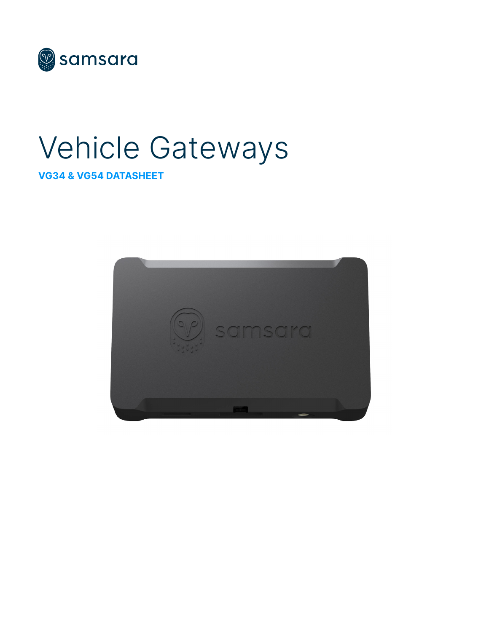

# Vehicle Gateways

#### VG34 & VG54 DATASHEET

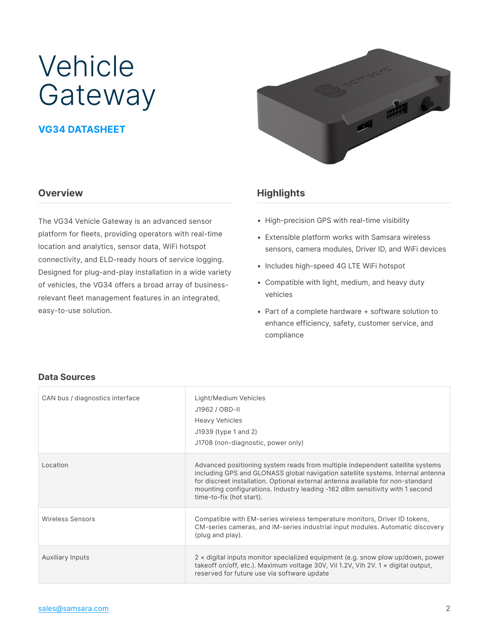## Vehicle Gateway

#### VG34 DATASHEET

#### **Overview**

The VG34 Vehicle Gateway is an advanced sensor platform for fleets, providing operators with real-time location and analytics, sensor data, WiFi hotspot connectivity, and ELD-ready hours of service logging. Designed for plug-and-play installation in a wide variety of vehicles, the VG34 offers a broad array of businessrelevant fleet management features in an integrated, easy-to-use solution.



#### **Highlights**

- High-precision GPS with real-time visibility
- Extensible platform works with Samsara wireless sensors, camera modules, Driver ID, and WiFi devices
- Includes high-speed 4G LTE WiFi hotspot
- Compatible with light, medium, and heavy duty vehicles
- Part of a complete hardware + software solution to enhance efficiency, safety, customer service, and compliance

#### **Data Sources**

| CAN bus / diagnostics interface | Light/Medium Vehicles<br>J1962 / OBD-II<br><b>Heavy Vehicles</b><br>J1939 (type 1 and 2)<br>J1708 (non-diagnostic, power only)                                                                                                                                                                                                                                  |
|---------------------------------|-----------------------------------------------------------------------------------------------------------------------------------------------------------------------------------------------------------------------------------------------------------------------------------------------------------------------------------------------------------------|
| Location                        | Advanced positioning system reads from multiple independent satellite systems<br>including GPS and GLONASS global navigation satellite systems. Internal antenna<br>for discreet installation. Optional external antenna available for non-standard<br>mounting configurations. Industry leading -162 dBm sensitivity with 1 second<br>time-to-fix (hot start). |
| <b>Wireless Sensors</b>         | Compatible with EM-series wireless temperature monitors, Driver ID tokens,<br>CM-series cameras, and IM-series industrial input modules. Automatic discovery<br>(plug and play).                                                                                                                                                                                |
| <b>Auxiliary Inputs</b>         | $2 \times$ digital inputs monitor specialized equipment (e.g. snow plow up/down, power<br>takeoff on/off, etc.). Maximum voltage 30V, Vil 1.2V, Vih 2V. 1 $\times$ digital output,<br>reserved for future use via software update                                                                                                                               |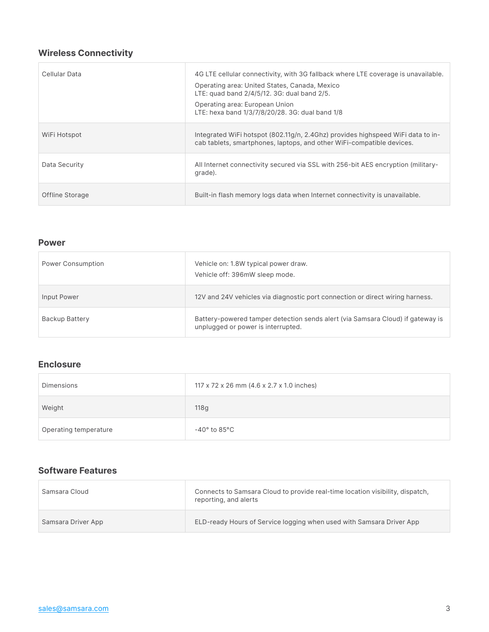#### **Wireless Connectivity**

| Cellular Data   | 4G LTE cellular connectivity, with 3G fallback where LTE coverage is unavailable.<br>Operating area: United States, Canada, Mexico<br>LTE: quad band 2/4/5/12. 3G: dual band 2/5.<br>Operating area: European Union<br>LTE: hexa band 1/3/7/8/20/28. 3G: dual band 1/8 |
|-----------------|------------------------------------------------------------------------------------------------------------------------------------------------------------------------------------------------------------------------------------------------------------------------|
| WiFi Hotspot    | Integrated WiFi hotspot (802.11g/n, 2.4Ghz) provides highspeed WiFi data to in-<br>cab tablets, smartphones, laptops, and other WiFi-compatible devices.                                                                                                               |
| Data Security   | All Internet connectivity secured via SSL with 256-bit AES encryption (military-<br>grade).                                                                                                                                                                            |
| Offline Storage | Built-in flash memory logs data when Internet connectivity is unavailable.                                                                                                                                                                                             |

#### **Power**

| <b>Power Consumption</b> | Vehicle on: 1.8W typical power draw.<br>Vehicle off: 396mW sleep mode.                                               |
|--------------------------|----------------------------------------------------------------------------------------------------------------------|
| Input Power              | 12V and 24V vehicles via diagnostic port connection or direct wiring harness.                                        |
| Backup Battery           | Battery-powered tamper detection sends alert (via Samsara Cloud) if gateway is<br>unplugged or power is interrupted. |

#### **Enclosure**

| Dimensions            | 117 x 72 x 26 mm (4.6 x 2.7 x 1.0 inches) |
|-----------------------|-------------------------------------------|
| Weight                | 118 <sub>g</sub>                          |
| Operating temperature | -40° to 85°C                              |

#### **Software Features**

| Samsara Cloud      | Connects to Samsara Cloud to provide real-time location visibility, dispatch,<br>reporting, and alerts |
|--------------------|--------------------------------------------------------------------------------------------------------|
| Samsara Driver App | ELD-ready Hours of Service logging when used with Samsara Driver App                                   |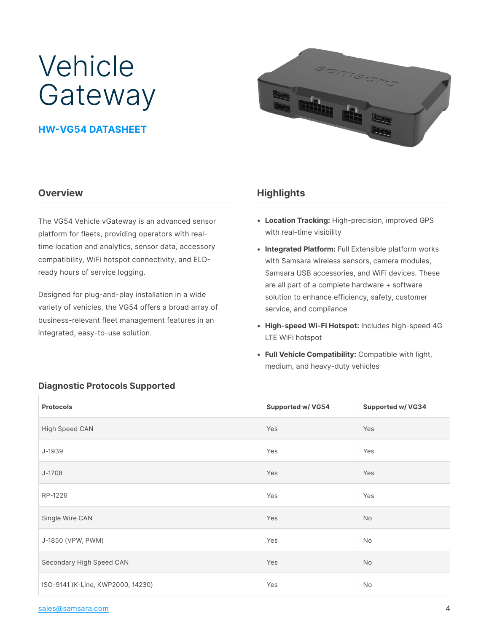## Vehicle Gateway

#### HW-VG54 DATASHEET



#### **Overview**

The VG54 Vehicle vGateway is an advanced sensor platform for fleets, providing operators with realtime location and analytics, sensor data, accessory compatibility, WiFi hotspot connectivity, and ELDready hours of service logging.

Designed for plug-and-play installation in a wide variety of vehicles, the VG54 offers a broad array of business-relevant fleet management features in an integrated, easy-to-use solution.

#### **Highlights**

- Location Tracking: High-precision, improved GPS with real-time visibility
- Integrated Platform: Full Extensible platform works with Samsara wireless sensors, camera modules, Samsara USB accessories, and WiFi devices. These are all part of a complete hardware + software solution to enhance efficiency, safety, customer service, and compliance
- High-speed Wi-Fi Hotspot: Includes high-speed 4G LTE WiFi hotspot
- Full Vehicle Compatibility: Compatible with light, medium, and heavy-duty vehicles

| <b>Protocols</b>                  | <b>Supported w/ VG54</b> | <b>Supported w/ VG34</b> |
|-----------------------------------|--------------------------|--------------------------|
| High Speed CAN                    | Yes                      | Yes                      |
| J-1939                            | Yes                      | Yes                      |
| J-1708                            | Yes                      | Yes                      |
| RP-1226                           | Yes                      | Yes                      |
| Single Wire CAN                   | Yes                      | <b>No</b>                |
| J-1850 (VPW, PWM)                 | Yes                      | No                       |
| Secondary High Speed CAN          | Yes                      | <b>No</b>                |
| ISO-9141 (K-Line, KWP2000, 14230) | Yes                      | No                       |

#### **Diagnostic Protocols Supported**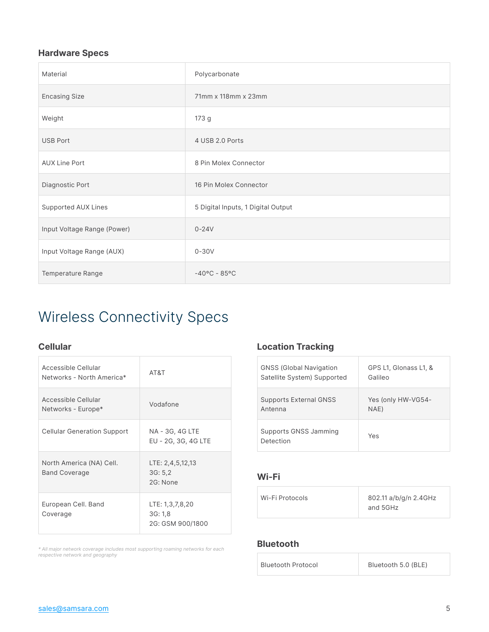#### **Hardware Specs**

| Material                    | Polycarbonate                      |
|-----------------------------|------------------------------------|
| <b>Encasing Size</b>        | 71mm x 118mm x 23mm                |
| Weight                      | 173 g                              |
| <b>USB Port</b>             | 4 USB 2.0 Ports                    |
| <b>AUX Line Port</b>        | 8 Pin Molex Connector              |
| Diagnostic Port             | 16 Pin Molex Connector             |
| Supported AUX Lines         | 5 Digital Inputs, 1 Digital Output |
| Input Voltage Range (Power) | $0 - 24V$                          |
| Input Voltage Range (AUX)   | $0 - 30V$                          |
| Temperature Range           | $-40^{\circ}$ C - 85°C             |

### Wireless Connectivity Specs

| Accessible Cellular<br>Networks - North America* | AT&T                                          |
|--------------------------------------------------|-----------------------------------------------|
| Accessible Cellular<br>Networks - Europe*        | Vodafone                                      |
| <b>Cellular Generation Support</b>               | NA - 3G, 4G LTE<br>EU - 2G, 3G, 4G LTE        |
| North America (NA) Cell.<br><b>Band Coverage</b> | LTE: 2,4,5,12,13<br>3G: 5,2<br>2G: None       |
| European Cell. Band<br>Coverage                  | LTE: 1,3,7,8,20<br>3G:1,8<br>2G: GSM 900/1800 |

\* All major network coverage includes most supporting roaming networks for each respective network and geography

#### **Cellular Location Tracking**

| <b>GNSS (Global Navigation</b>     | GPS L1, Glonass L1, & |
|------------------------------------|-----------------------|
| Satellite System) Supported        | Galileo               |
| <b>Supports External GNSS</b>      | Yes (only HW-VG54-    |
| Antenna                            | NAE)                  |
| Supports GNSS Jamming<br>Detection | Yes                   |

#### **Wi-Fi**

| Wi-Fi Protocols | 802.11 a/b/g/n 2.4GHz<br>and 5GHz |
|-----------------|-----------------------------------|
|-----------------|-----------------------------------|

#### **Bluetooth**

| <b>Bluetooth Protocol</b> | Bluetooth 5.0 (BLE) |
|---------------------------|---------------------|
|                           |                     |